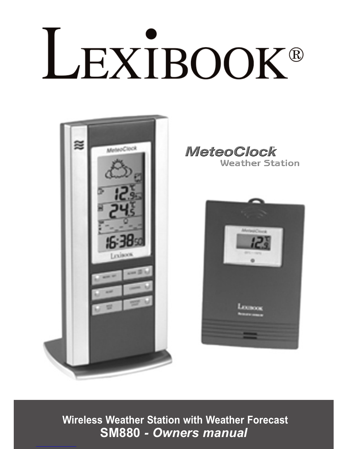# LEXIBOOK®



**MeteoClock Weather Station** 



**Wireless Weather Station with Weather Forecast SM880** *- Owners manual*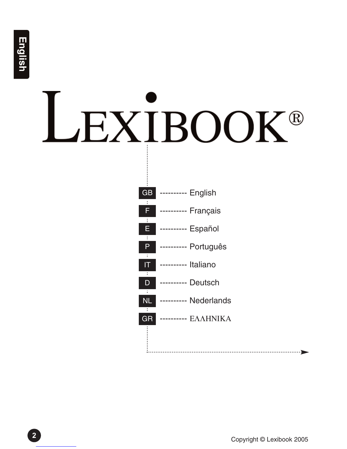# LEXIBOOK®

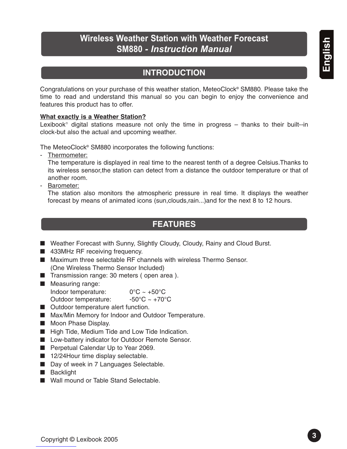# **Wireless Weather Station with Weather Forecast SM880** *- Instruction Manual*

# **INTRODUCTION**

Congratulations on your purchase of this weather station, MeteoClock® SM880. Please take the time to read and understand this manual so you can begin to enjoy the convenience and features this product has to offer.

#### **What exactly is a Weather Station?**

Lexibook<sup>®</sup> digital stations measure not only the time in progress  $-$  thanks to their built--in clock-but also the actual and upcoming weather.

The MeteoClock® SM880 incorporates the following functions:

- Thermometer:

The temperature is displayed in real time to the nearest tenth of a degree Celsius.Thanks to its wireless sensor,the station can detect from a distance the outdoor temperature or that of another room.

- Barometer:

The station also monitors the atmospheric pressure in real time. It displays the weather forecast by means of animated icons (sun,clouds,rain...)and for the next 8 to 12 hours.

# **FEATURES**

- Weather Forecast with Sunny, Slightly Cloudy, Cloudy, Rainy and Cloud Burst.
- 433MHz RF receiving frequency.
- Maximum three selectable RF channels with wireless Thermo Sensor. (One Wireless Thermo Sensor Included)
- Transmission range: 30 meters (open area).
- Measuring range: Indoor temperature:  $0^{\circ}C \sim +50^{\circ}C$ Outdoor temperature:  $-50^{\circ}$ C ~ +70°C
- Outdoor temperature alert function.
- Max/Min Memory for Indoor and Outdoor Temperature.
- Moon Phase Display.
- High Tide, Medium Tide and Low Tide Indication.
- Low-battery indicator for Outdoor Remote Sensor.
- Perpetual Calendar Up to Year 2069.
- 12/24Hour time display selectable.
- Day of week in 7 Languages Selectable.
- Backlight
- Wall mound or Table Stand Selectable.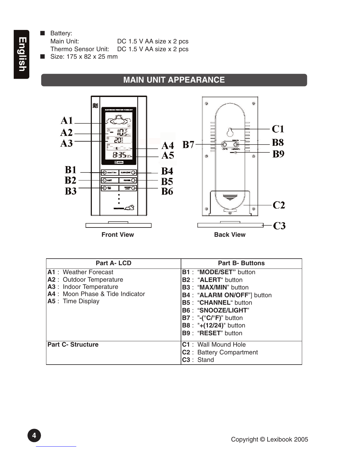■ Battery: Main Unit: DC 1.5 V AA size x 2 pcs Thermo Sensor Unit: DC 1.5 V AA size x 2 pcs ■ Size: 175 x 82 x 25 mm

# **MAIN UNIT APPEARANCE**



| <b>Part A-LCD</b>                | <b>Part B- Buttons</b>                                               |
|----------------------------------|----------------------------------------------------------------------|
| <b>A1</b> : Weather Forecast     | <b>B1: "MODE/SET"</b> button                                         |
| A2 : Outdoor Temperature         | <b>B2: "ALERT" button</b>                                            |
| A3 : Indoor Temperature          | <b>B3: "MAX/MIN"</b> button                                          |
| A4 : Moon Phase & Tide Indicator | <b>B4: "ALARM ON/OFF"</b> button                                     |
| A5 : Time Display                | <b>B5: "CHANNEL" button</b>                                          |
|                                  | <b>B6: "SNOOZE/LIGHT"</b>                                            |
|                                  | $\mathsf{B7}:$ "-( $^{\circ}\mathsf{C}/^{\circ}\mathsf{F}$ )" button |
|                                  | <b>B8</b> : "+(12/24)" button                                        |
|                                  | <b>B9: "RESET"</b> button                                            |
| <b>Part C- Structure</b>         | <b>C1</b> : Wall Mound Hole                                          |
|                                  | <b>C2</b> : Battery Compartment                                      |
|                                  | C <sub>3</sub> : Stand                                               |

English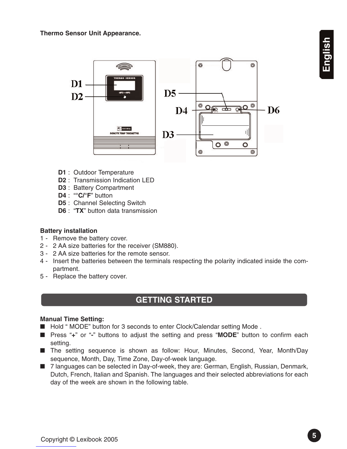

- **D1** : Outdoor Temperature
- **D2** : Transmission Indication LED
- **D3** : Battery Compartment
- **D4** : "**°C/°F**" button
- **D5** : Channel Selecting Switch
- **D6** : "**TX**" button data transmission

#### **Battery installation**

- 1 Remove the battery cover.
- 2 2 AA size batteries for the receiver (SM880).
- 3 2 AA size batteries for the remote sensor.
- 4 Insert the batteries between the terminals respecting the polarity indicated inside the compartment.
- 5 Replace the battery cover.

## **GETTING STARTED**

#### **Manual Time Setting:**

- Hold " MODE" button for 3 seconds to enter Clock/Calendar setting Mode.
- Press "**+**" or "<sup>-</sup>" buttons to adjust the setting and press "MODE" button to confirm each setting.
- The setting sequence is shown as follow: Hour, Minutes, Second, Year, Month/Day sequence, Month, Day, Time Zone, Day-of-week language.
- 7 languages can be selected in Day-of-week, they are: German, English, Russian, Denmark, Dutch, French, Italian and Spanish. The languages and their selected abbreviations for each day of the week are shown in the following table.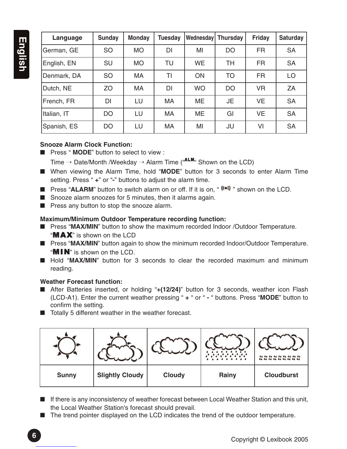| Language    | Sunday    | <b>Monday</b> | <b>Tuesday</b> | Wednesday Thursday |           | <b>Friday</b> | <b>Saturday</b> |
|-------------|-----------|---------------|----------------|--------------------|-----------|---------------|-----------------|
| German, GE  | <b>SO</b> | <b>MO</b>     | <b>DI</b>      | MI                 | <b>DO</b> | <b>FR</b>     | <b>SA</b>       |
| English, EN | <b>SU</b> | <b>MO</b>     | TU             | <b>WE</b>          | <b>TH</b> | <b>FR</b>     | <b>SA</b>       |
| Denmark, DA | <b>SO</b> | MA            | ΤI             | ON                 | <b>TO</b> | <b>FR</b>     | LO              |
| Dutch, NE   | ZO        | <b>MA</b>     | <b>DI</b>      | <b>WO</b>          | <b>DO</b> | <b>VR</b>     | ZA              |
| French, FR  | <b>DI</b> | LU            | <b>MA</b>      | ME.                | JE.       | <b>VE</b>     | <b>SA</b>       |
| Italian, IT | <b>DO</b> | LU            | MA             | ME                 | GI        | <b>VE</b>     | <b>SA</b>       |
| Spanish, ES | <b>DO</b> | LU            | MA             | MI                 | JU        | VI            | <b>SA</b>       |

#### **Snooze Alarm Clock Function:**

■ Press " **MODE**" button to select to view :

Time  $\rightarrow$  Date/Month /Weekday  $\rightarrow$  Alarm Time ("ALM" Shown on the LCD)

- When viewing the Alarm Time, hold "MODE" button for 3 seconds to enter Alarm Time setting. Press " **+**" or "**-**" buttons to adjust the alarm time.
- Press "ALARM" button to switch alarm on or off. If it is on, "<sup>(((●))</sup>)" shown on the LCD.
- Snooze alarm snoozes for 5 minutes, then it alarms again.
- Press any button to stop the snooze alarm.

### **Maximum/Minimum Outdoor Temperature recording function:**

- Press "MAX/MIN" button to show the maximum recorded Indoor /Outdoor Temperature. " $MAX$ " is shown on the LCD
- Press "MAX/MIN" button again to show the minimum recorded Indoor/Outdoor Temperature. " $MIN$ " is shown on the LCD.
- Hold "MAX/MIN" button for 3 seconds to clear the recorded maximum and minimum reading.

#### **Weather Forecast function:**

- After Batteries inserted, or holding "**+(12/24)**" button for 3 seconds, weather icon Flash (LCD-A1). Enter the current weather pressing " **+** " or " **-** " buttons. Press "**MODE**" button to confirm the setting.
- Totally 5 different weather in the weather forecast.

| <b>Sunny</b> | <b>Slightly Cloudy</b> | <b>Cloudy</b> | Rainy | <b>Cloudburst</b> |
|--------------|------------------------|---------------|-------|-------------------|

- If there is any inconsistency of weather forecast between Local Weather Station and this unit, the Local Weather Station's forecast should prevail.
- The trend pointer displayed on the LCD indicates the trend of the outdoor temperature.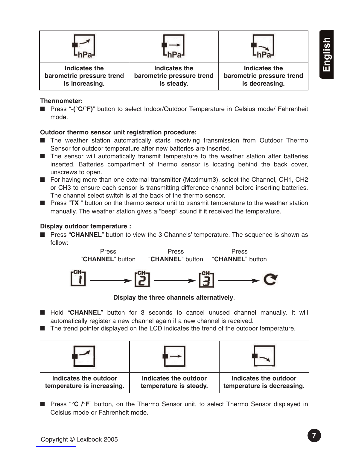| Indicates the             | Indicates the             | Indicates the             |
|---------------------------|---------------------------|---------------------------|
| barometric pressure trend | barometric pressure trend | barometric pressure trend |
| is increasing.            | is steady.                | is decreasing.            |

#### **Thermometer:**

■ Press "-(°C/°F)" button to select Indoor/Outdoor Temperature in Celsius mode/ Fahrenheit mode.

#### **Outdoor thermo sensor unit registration procedure:**

- The weather station automatically starts receiving transmission from Outdoor Thermo Sensor for outdoor temperature after new batteries are inserted.
- The sensor will automatically transmit temperature to the weather station after batteries inserted. Batteries compartment of thermo sensor is locating behind the back cover, unscrews to open.
- For having more than one external transmitter (Maximum3), select the Channel, CH1, CH2 or CH3 to ensure each sensor is transmitting difference channel before inserting batteries. The channel select switch is at the back of the thermo sensor.
- Press "TX" button on the thermo sensor unit to transmit temperature to the weather station manually. The weather station gives a "beep" sound if it received the temperature.

#### **Display outdoor temperature :**

■ Press "CHANNEL" button to view the 3 Channels' temperature. The sequence is shown as follow:

Press Press Press



**Display the three channels alternatively**.

- Hold "CHANNEL" button for 3 seconds to cancel unused channel manually. It will automatically register a new channel again if a new channel is received.
- The trend pointer displayed on the LCD indicates the trend of the outdoor temperature.







| Indicates the outdoor      | Ind |
|----------------------------|-----|
| temperature is increasing. | tem |

**I** icates the outdoor **their is steady.** 

**Indicates the outdoor temperature is decreasing.** 

■ Press "°C /°F" button, on the Thermo Sensor unit, to select Thermo Sensor displayed in Celsius mode or Fahrenheit mode.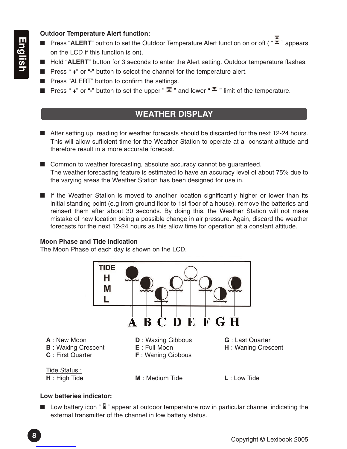#### **Outdoor Temperature Alert function:**

- Press "ALERT" button to set the Outdoor Temperature Alert function on or off ( " **2** " appears on the LCD if this function is on).
- Hold "ALERT" button for 3 seconds to enter the Alert setting. Outdoor temperature flashes.
- Press " +" or "<sup>-</sup>" button to select the channel for the temperature alert.
- Press "ALERT" button to confirm the settings.
- Press " + " or "<sup>-</sup>" button to set the upper "  $\bar{\blacktriangle}$  " and lower "  $\bar{\blacktriangle}$  " limit of the temperature.

# **WEATHER DISPLAY**

- After setting up, reading for weather forecasts should be discarded for the next 12-24 hours. This will allow sufficient time for the Weather Station to operate at a constant altitude and therefore result in a more accurate forecast.
- Common to weather forecasting, absolute accuracy cannot be guaranteed. The weather forecasting feature is estimated to have an accuracy level of about 75% due to the varying areas the Weather Station has been designed for use in.
- If the Weather Station is moved to another location significantly higher or lower than its initial standing point (e.g from ground floor to 1st floor of a house), remove the batteries and reinsert them after about 30 seconds. By doing this, the Weather Station will not make mistake of new location being a possible change in air pressure. Again, discard the weather forecasts for the next 12-24 hours as this allow time for operation at a constant altitude.

#### **Moon Phase and Tide Indication**

The Moon Phase of each day is shown on the LCD.



#### **Low batteries indicator:**

■ Low battery icon " I " appear at outdoor temperature row in particular channel indicating the external transmitter of the channel in low battery status.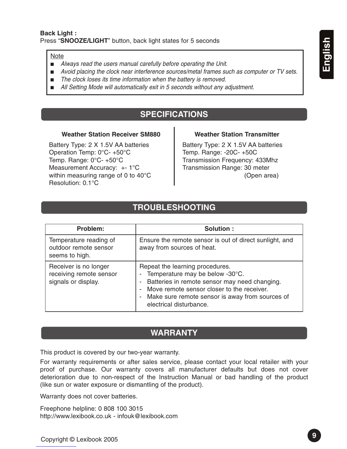#### Note

- *Always read the users manual carefully before operating the Unit.*
- *Avoid placing the clock near interference sources/metal frames such as computer or TV sets.*
- *The clock loses its time information when the battery is removed.*
- All Setting Mode will automatically exit in 5 seconds without any adjustment.

# **SPECIFICATIONS**

#### **Weather Station Receiver SM880 Weather Station Transmitter**

Battery Type: 2 X 1.5V AA batteries Operation Temp: 0°C- +50°C Temp. Range: 0°C- +50°C Measurement Accuracy: +- 1°C within measuring range of 0 to 40°C Resolution: 0.1°C

Battery Type: 2 X 1.5V AA batteries Temp. Range: -20C- +50C Transmission Frequency: 433Mhz Transmission Range: 30 meter (Open area)

## **TROUBLESHOOTING**

| Problem:                                                                | Solution:                                                                                                                                                                                                                                         |
|-------------------------------------------------------------------------|---------------------------------------------------------------------------------------------------------------------------------------------------------------------------------------------------------------------------------------------------|
| Temperature reading of<br>outdoor remote sensor<br>seems to high.       | Ensure the remote sensor is out of direct sunlight, and<br>away from sources of heat.                                                                                                                                                             |
| Receiver is no longer<br>receiving remote sensor<br>signals or display. | Repeat the learning procedures.<br>Temperature may be below -30°C.<br>Batteries in remote sensor may need changing.<br>Move remote sensor closer to the receiver.<br>- Make sure remote sensor is away from sources of<br>electrical disturbance. |

### **WARRANTY**

This product is covered by our two-year warranty.

For warranty requirements or after sales service, please contact your local retailer with your proof of purchase. Our warranty covers all manufacturer defaults but does not cover deterioration due to non-respect of the Instruction Manual or bad handling of the product (like sun or water exposure or dismantling of the product).

Warranty does not cover batteries.

Freephone helpline: 0 808 100 3015 http://www.lexibook.co.uk - infouk@lexibook.com